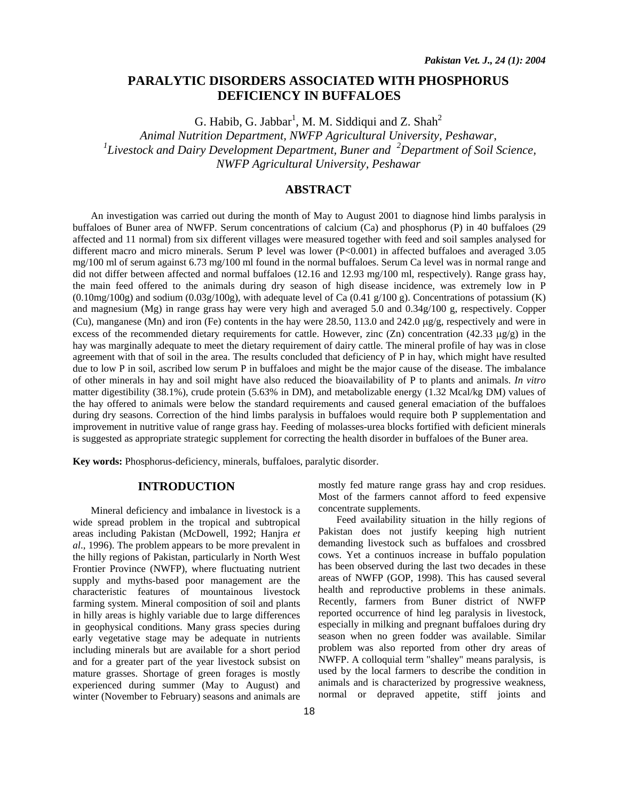# **PARALYTIC DISORDERS ASSOCIATED WITH PHOSPHORUS DEFICIENCY IN BUFFALOES**

G. Habib, G. Jabbar<sup>1</sup>, M. M. Siddiqui and Z. Shah<sup>2</sup>

*Animal Nutrition Department, NWFP Agricultural University, Peshawar, 1 Livestock and Dairy Development Department, Buner and <sup>2</sup> Department of Soil Science, NWFP Agricultural University, Peshawar* 

# **ABSTRACT**

An investigation was carried out during the month of May to August 2001 to diagnose hind limbs paralysis in buffaloes of Buner area of NWFP. Serum concentrations of calcium (Ca) and phosphorus (P) in 40 buffaloes (29 affected and 11 normal) from six different villages were measured together with feed and soil samples analysed for different macro and micro minerals. Serum P level was lower (P<0.001) in affected buffaloes and averaged 3.05 mg/100 ml of serum against 6.73 mg/100 ml found in the normal buffaloes. Serum Ca level was in normal range and did not differ between affected and normal buffaloes (12.16 and 12.93 mg/100 ml, respectively). Range grass hay, the main feed offered to the animals during dry season of high disease incidence, was extremely low in P  $(0.10\text{mg}/100\text{g})$  and sodium  $(0.03\text{g}/100\text{g})$ , with adequate level of Ca  $(0.41\text{ g}/100\text{ g})$ . Concentrations of potassium (K) and magnesium (Mg) in range grass hay were very high and averaged 5.0 and 0.34g/100 g, respectively. Copper (Cu), manganese (Mn) and iron (Fe) contents in the hay were 28.50, 113.0 and 242.0 µg/g, respectively and were in excess of the recommended dietary requirements for cattle. However, zinc  $(Zn)$  concentration (42.33  $\mu$ g/g) in the hay was marginally adequate to meet the dietary requirement of dairy cattle. The mineral profile of hay was in close agreement with that of soil in the area. The results concluded that deficiency of P in hay, which might have resulted due to low P in soil, ascribed low serum P in buffaloes and might be the major cause of the disease. The imbalance of other minerals in hay and soil might have also reduced the bioavailability of P to plants and animals. *In vitro* matter digestibility (38.1%), crude protein (5.63% in DM), and metabolizable energy (1.32 Mcal/kg DM) values of the hay offered to animals were below the standard requirements and caused general emaciation of the buffaloes during dry seasons. Correction of the hind limbs paralysis in buffaloes would require both P supplementation and improvement in nutritive value of range grass hay. Feeding of molasses-urea blocks fortified with deficient minerals is suggested as appropriate strategic supplement for correcting the health disorder in buffaloes of the Buner area.

**Key words:** Phosphorus-deficiency, minerals, buffaloes, paralytic disorder.

## **INTRODUCTION**

Mineral deficiency and imbalance in livestock is a wide spread problem in the tropical and subtropical areas including Pakistan (McDowell, 1992; Hanjra *et al*., 1996). The problem appears to be more prevalent in the hilly regions of Pakistan, particularly in North West Frontier Province (NWFP), where fluctuating nutrient supply and myths-based poor management are the characteristic features of mountainous livestock farming system. Mineral composition of soil and plants in hilly areas is highly variable due to large differences in geophysical conditions. Many grass species during early vegetative stage may be adequate in nutrients including minerals but are available for a short period and for a greater part of the year livestock subsist on mature grasses. Shortage of green forages is mostly experienced during summer (May to August) and winter (November to February) seasons and animals are

mostly fed mature range grass hay and crop residues. Most of the farmers cannot afford to feed expensive concentrate supplements.

Feed availability situation in the hilly regions of Pakistan does not justify keeping high nutrient demanding livestock such as buffaloes and crossbred cows. Yet a continuos increase in buffalo population has been observed during the last two decades in these areas of NWFP (GOP, 1998). This has caused several health and reproductive problems in these animals. Recently, farmers from Buner district of NWFP reported occurrence of hind leg paralysis in livestock, especially in milking and pregnant buffaloes during dry season when no green fodder was available. Similar problem was also reported from other dry areas of NWFP. A colloquial term "shalley" means paralysis, is used by the local farmers to describe the condition in animals and is characterized by progressive weakness, normal or depraved appetite, stiff joints and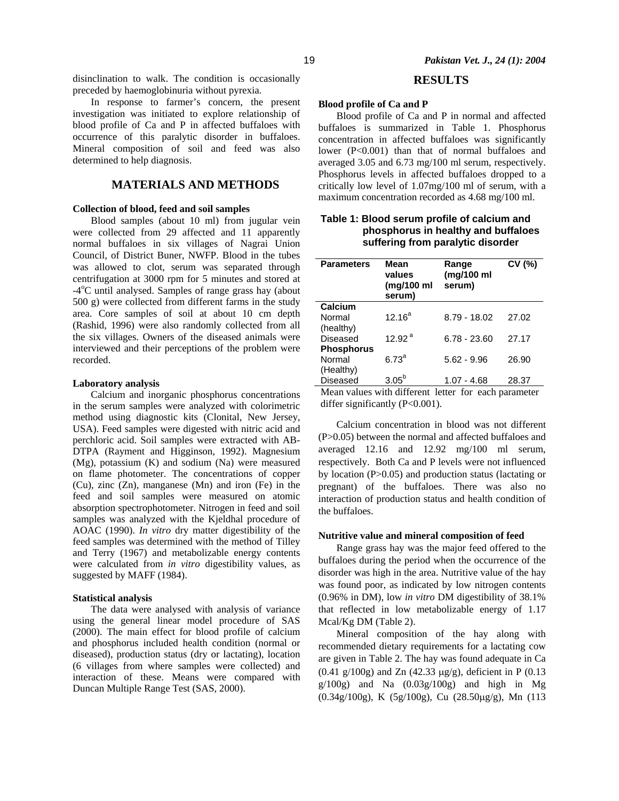disinclination to walk. The condition is occasionally preceded by haemoglobinuria without pyrexia.

In response to farmer's concern, the present investigation was initiated to explore relationship of blood profile of Ca and P in affected buffaloes with occurrence of this paralytic disorder in buffaloes. Mineral composition of soil and feed was also determined to help diagnosis.

## **MATERIALS AND METHODS**

### **Collection of blood, feed and soil samples**

Blood samples (about 10 ml) from jugular vein were collected from 29 affected and 11 apparently normal buffaloes in six villages of Nagrai Union Council, of District Buner, NWFP. Blood in the tubes was allowed to clot, serum was separated through centrifugation at 3000 rpm for 5 minutes and stored at -4<sup>o</sup>C until analysed. Samples of range grass hay (about 500 g) were collected from different farms in the study area. Core samples of soil at about 10 cm depth (Rashid, 1996) were also randomly collected from all the six villages. Owners of the diseased animals were interviewed and their perceptions of the problem were recorded.

### **Laboratory analysis**

Calcium and inorganic phosphorus concentrations in the serum samples were analyzed with colorimetric method using diagnostic kits (Clonital, New Jersey, USA). Feed samples were digested with nitric acid and perchloric acid. Soil samples were extracted with AB-DTPA (Rayment and Higginson, 1992). Magnesium (Mg), potassium (K) and sodium (Na) were measured on flame photometer. The concentrations of copper (Cu), zinc (Zn), manganese (Mn) and iron (Fe) in the feed and soil samples were measured on atomic absorption spectrophotometer. Nitrogen in feed and soil samples was analyzed with the Kjeldhal procedure of AOAC (1990). *In vitro* dry matter digestibility of the feed samples was determined with the method of Tilley and Terry (1967) and metabolizable energy contents were calculated from *in vitro* digestibility values, as suggested by MAFF (1984).

#### **Statistical analysis**

The data were analysed with analysis of variance using the general linear model procedure of SAS (2000). The main effect for blood profile of calcium and phosphorus included health condition (normal or diseased), production status (dry or lactating), location (6 villages from where samples were collected) and interaction of these. Means were compared with Duncan Multiple Range Test (SAS, 2000).

## **RESULTS**

### **Blood profile of Ca and P**

Blood profile of Ca and P in normal and affected buffaloes is summarized in Table 1. Phosphorus concentration in affected buffaloes was significantly lower (P<0.001) than that of normal buffaloes and averaged 3.05 and 6.73 mg/100 ml serum, respectively. Phosphorus levels in affected buffaloes dropped to a critically low level of 1.07mg/100 ml of serum, with a maximum concentration recorded as 4.68 mg/100 ml.

| surrering from paralytic ulsoruer |                                        |                               |        |  |
|-----------------------------------|----------------------------------------|-------------------------------|--------|--|
| <b>Parameters</b>                 | Mean<br>values<br>(mg/100 ml<br>serum) | Range<br>(mg/100 ml<br>serum) | CV (%) |  |
| Calcium                           |                                        |                               |        |  |
| Normal                            | $12.16^a$                              | $8.79 - 18.02$                | 27.02  |  |
| (healthy)                         |                                        |                               |        |  |
| Diseased                          | 12.92 <sup>a</sup>                     | $6.78 - 23.60$                | 27.17  |  |
| <b>Phosphorus</b>                 |                                        |                               |        |  |
| Normal                            | $6.73^a$                               | $5.62 - 9.96$                 | 26.90  |  |
| (Healthy)                         |                                        |                               |        |  |
| Diseased                          | $3.05^{b}$                             | $1.07 - 4.68$                 | 28.37  |  |

## **Table 1: Blood serum profile of calcium and phosphorus in healthy and buffaloes suffering from paralytic disorder**

Mean values with different letter for each parameter differ significantly (P<0.001).

Calcium concentration in blood was not different (P>0.05) between the normal and affected buffaloes and averaged 12.16 and 12.92 mg/100 ml serum, respectively. Both Ca and P levels were not influenced by location (P>0.05) and production status (lactating or pregnant) of the buffaloes. There was also no interaction of production status and health condition of the buffaloes.

### **Nutritive value and mineral composition of feed**

Range grass hay was the major feed offered to the buffaloes during the period when the occurrence of the disorder was high in the area. Nutritive value of the hay was found poor, as indicated by low nitrogen contents (0.96% in DM), low *in vitro* DM digestibility of 38.1% that reflected in low metabolizable energy of 1.17 Mcal/Kg DM (Table 2).

Mineral composition of the hay along with recommended dietary requirements for a lactating cow are given in Table 2. The hay was found adequate in Ca (0.41 g/100g) and Zn (42.33  $\mu$ g/g), deficient in P (0.13  $g/100g$ ) and Na  $(0.03g/100g)$  and high in Mg (0.34g/100g), K (5g/100g), Cu (28.50µg/g), Mn (113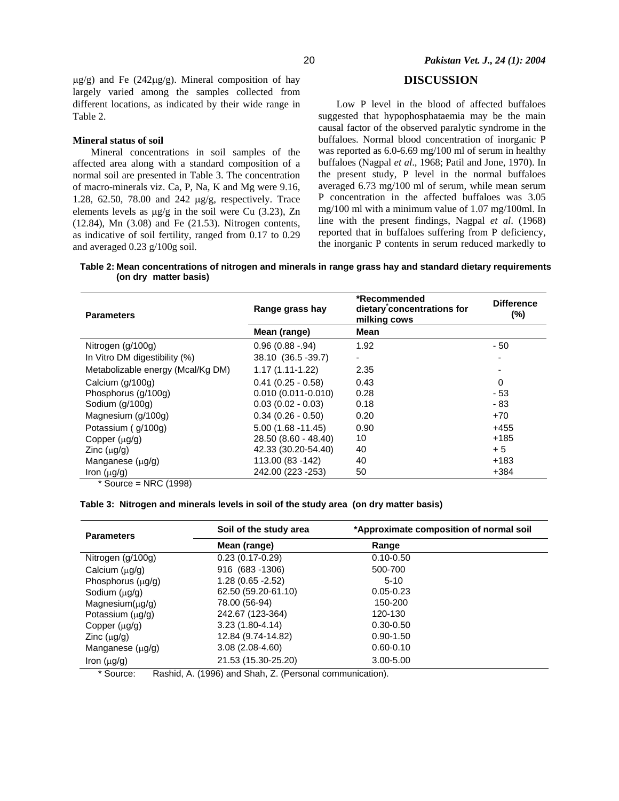$\mu$ g/g) and Fe (242 $\mu$ g/g). Mineral composition of hay largely varied among the samples collected from different locations, as indicated by their wide range in Table 2.

#### **Mineral status of soil**

Mineral concentrations in soil samples of the affected area along with a standard composition of a normal soil are presented in Table 3. The concentration of macro-minerals viz. Ca, P, Na, K and Mg were 9.16, 1.28, 62.50, 78.00 and 242 µg/g, respectively. Trace elements levels as µg/g in the soil were Cu (3.23), Zn (12.84), Mn (3.08) and Fe (21.53). Nitrogen contents, as indicative of soil fertility, ranged from 0.17 to 0.29 and averaged 0.23 g/100g soil.

## **DISCUSSION**

Low P level in the blood of affected buffaloes suggested that hypophosphataemia may be the main causal factor of the observed paralytic syndrome in the buffaloes. Normal blood concentration of inorganic P was reported as 6.0-6.69 mg/100 ml of serum in healthy buffaloes (Nagpal *et al*., 1968; Patil and Jone, 1970). In the present study, P level in the normal buffaloes averaged 6.73 mg/100 ml of serum, while mean serum P concentration in the affected buffaloes was 3.05 mg/100 ml with a minimum value of 1.07 mg/100ml. In line with the present findings, Nagpal *et al*. (1968) reported that in buffaloes suffering from P deficiency, the inorganic P contents in serum reduced markedly to

**Table 2: Mean concentrations of nitrogen and minerals in range grass hay and standard dietary requirements (on dry matter basis)** 

| <b>Parameters</b>                 | Range grass hay        | *Recommended<br>dietary concentrations for<br>milking cows | <b>Difference</b><br>$(\%)$ |
|-----------------------------------|------------------------|------------------------------------------------------------|-----------------------------|
|                                   | Mean (range)           | Mean                                                       |                             |
| Nitrogen (g/100g)                 | $0.96(0.88 - 94)$      | 1.92                                                       | - 50                        |
| In Vitro DM digestibility (%)     | 38.10 (36.5 - 39.7)    | ۰                                                          |                             |
| Metabolizable energy (Mcal/Kg DM) | $1.17(1.11-1.22)$      | 2.35                                                       |                             |
| Calcium (g/100g)                  | $0.41(0.25 - 0.58)$    | 0.43                                                       | $\Omega$                    |
| Phosphorus (g/100g)               | $0.010(0.011 - 0.010)$ | 0.28                                                       | $-53$                       |
| Sodium (g/100g)                   | $0.03(0.02 - 0.03)$    | 0.18                                                       | - 83                        |
| Magnesium (g/100g)                | $0.34(0.26 - 0.50)$    | 0.20                                                       | $+70$                       |
| Potassium (g/100g)                | $5.00(1.68 - 11.45)$   | 0.90                                                       | $+455$                      |
| Copper $(\mu g/g)$                | 28.50 (8.60 - 48.40)   | 10                                                         | $+185$                      |
| Zinc $(\mu g/g)$                  | 42.33 (30.20-54.40)    | 40                                                         | $+5$                        |
| Manganese $(\mu g/g)$             | 113.00 (83 - 142)      | 40                                                         | $+183$                      |
| Iron $(\mu g/g)$<br>$\cdots$      | 242.00 (223 - 253)     | 50                                                         | $+384$                      |

\* Source = NRC (1998)

#### **Table 3: Nitrogen and minerals levels in soil of the study area (on dry matter basis)**

| <b>Parameters</b>      | Soil of the study area | *Approximate composition of normal soil |
|------------------------|------------------------|-----------------------------------------|
|                        | Mean (range)           | Range                                   |
| Nitrogen (g/100g)      | $0.23(0.17-0.29)$      | $0.10 - 0.50$                           |
| Calcium $(\mu g/g)$    | 916 (683 - 1306)       | 500-700                                 |
| Phosphorus $(\mu g/g)$ | $1.28(0.65 - 2.52)$    | $5-10$                                  |
| Sodium $(\mu q/q)$     | 62.50 (59.20-61.10)    | $0.05 - 0.23$                           |
| $Magnesium(\mu g/g)$   | 78.00 (56-94)          | 150-200                                 |
| Potassium $(\mu g/g)$  | 242.67 (123-364)       | 120-130                                 |
| Copper $(\mu q/q)$     | $3.23(1.80 - 4.14)$    | $0.30 - 0.50$                           |
| Zinc $(\mu q/q)$       | 12.84 (9.74-14.82)     | $0.90 - 1.50$                           |
| Manganese $(\mu g/g)$  | $3.08(2.08-4.60)$      | $0.60 - 0.10$                           |
| Iron $(\mu g/g)$       | 21.53 (15.30-25.20)    | $3.00 - 5.00$                           |

\* Source: Rashid, A. (1996) and Shah, Z. (Personal communication).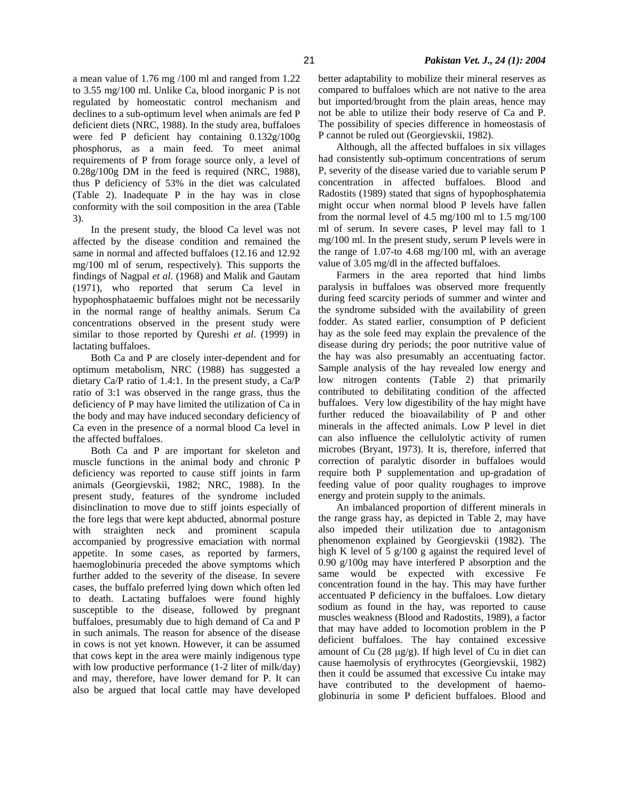a mean value of 1.76 mg /100 ml and ranged from 1.22 to 3.55 mg/100 ml. Unlike Ca, blood inorganic P is not regulated by homeostatic control mechanism and declines to a sub-optimum level when animals are fed P deficient diets (NRC, 1988). In the study area, buffaloes were fed P deficient hay containing 0.132g/100g phosphorus, as a main feed. To meet animal requirements of P from forage source only, a level of 0.28g/100g DM in the feed is required (NRC, 1988), thus P deficiency of 53% in the diet was calculated (Table 2). Inadequate P in the hay was in close conformity with the soil composition in the area (Table 3).

In the present study, the blood Ca level was not affected by the disease condition and remained the same in normal and affected buffaloes (12.16 and 12.92 mg/100 ml of serum, respectively). This supports the findings of Nagpal *et al*. (1968) and Malik and Gautam (1971), who reported that serum Ca level in hypophosphataemic buffaloes might not be necessarily in the normal range of healthy animals. Serum Ca concentrations observed in the present study were similar to those reported by Qureshi *et al*. (1999) in lactating buffaloes.

Both Ca and P are closely inter-dependent and for optimum metabolism, NRC (1988) has suggested a dietary Ca/P ratio of 1.4:1. In the present study, a Ca/P ratio of 3:1 was observed in the range grass, thus the deficiency of P may have limited the utilization of Ca in the body and may have induced secondary deficiency of Ca even in the presence of a normal blood Ca level in the affected buffaloes.

Both Ca and P are important for skeleton and muscle functions in the animal body and chronic P deficiency was reported to cause stiff joints in farm animals (Georgievskii, 1982; NRC, 1988). In the present study, features of the syndrome included disinclination to move due to stiff joints especially of the fore legs that were kept abducted, abnormal posture with straighten neck and prominent scapula accompanied by progressive emaciation with normal appetite. In some cases, as reported by farmers, haemoglobinuria preceded the above symptoms which further added to the severity of the disease. In severe cases, the buffalo preferred lying down which often led to death. Lactating buffaloes were found highly susceptible to the disease, followed by pregnant buffaloes, presumably due to high demand of Ca and P in such animals. The reason for absence of the disease in cows is not yet known. However, it can be assumed that cows kept in the area were mainly indigenous type with low productive performance (1-2 liter of milk/day) and may, therefore, have lower demand for P. It can also be argued that local cattle may have developed better adaptability to mobilize their mineral reserves as compared to buffaloes which are not native to the area but imported/brought from the plain areas, hence may not be able to utilize their body reserve of Ca and P. The possibility of species difference in homeostasis of P cannot be ruled out (Georgievskii, 1982).

Although, all the affected buffaloes in six villages had consistently sub-optimum concentrations of serum P, severity of the disease varied due to variable serum P concentration in affected buffaloes. Blood and Radostits (1989) stated that signs of hypophosphatemia might occur when normal blood P levels have fallen from the normal level of 4.5 mg/100 ml to 1.5 mg/100 ml of serum. In severe cases, P level may fall to 1 mg/100 ml. In the present study, serum P levels were in the range of 1.07-to 4.68 mg/100 ml, with an average value of 3.05 mg/dl in the affected buffaloes.

Farmers in the area reported that hind limbs paralysis in buffaloes was observed more frequently during feed scarcity periods of summer and winter and the syndrome subsided with the availability of green fodder. As stated earlier, consumption of P deficient hay as the sole feed may explain the prevalence of the disease during dry periods; the poor nutritive value of the hay was also presumably an accentuating factor. Sample analysis of the hay revealed low energy and low nitrogen contents (Table 2) that primarily contributed to debilitating condition of the affected buffaloes. Very low digestibility of the hay might have further reduced the bioavailability of P and other minerals in the affected animals. Low P level in diet can also influence the cellulolytic activity of rumen microbes (Bryant, 1973). It is, therefore, inferred that correction of paralytic disorder in buffaloes would require both P supplementation and up-gradation of feeding value of poor quality roughages to improve energy and protein supply to the animals.

An imbalanced proportion of different minerals in the range grass hay, as depicted in Table 2, may have also impeded their utilization due to antagonism phenomenon explained by Georgievskii (1982). The high K level of 5 g/100 g against the required level of 0.90 g/100g may have interfered P absorption and the same would be expected with excessive Fe concentration found in the hay. This may have further accentuated P deficiency in the buffaloes. Low dietary sodium as found in the hay, was reported to cause muscles weakness (Blood and Radostits, 1989), a factor that may have added to locomotion problem in the P deficient buffaloes. The hay contained excessive amount of Cu (28 µg/g). If high level of Cu in diet can cause haemolysis of erythrocytes (Georgievskii, 1982) then it could be assumed that excessive Cu intake may have contributed to the development of haemoglobinuria in some P deficient buffaloes. Blood and